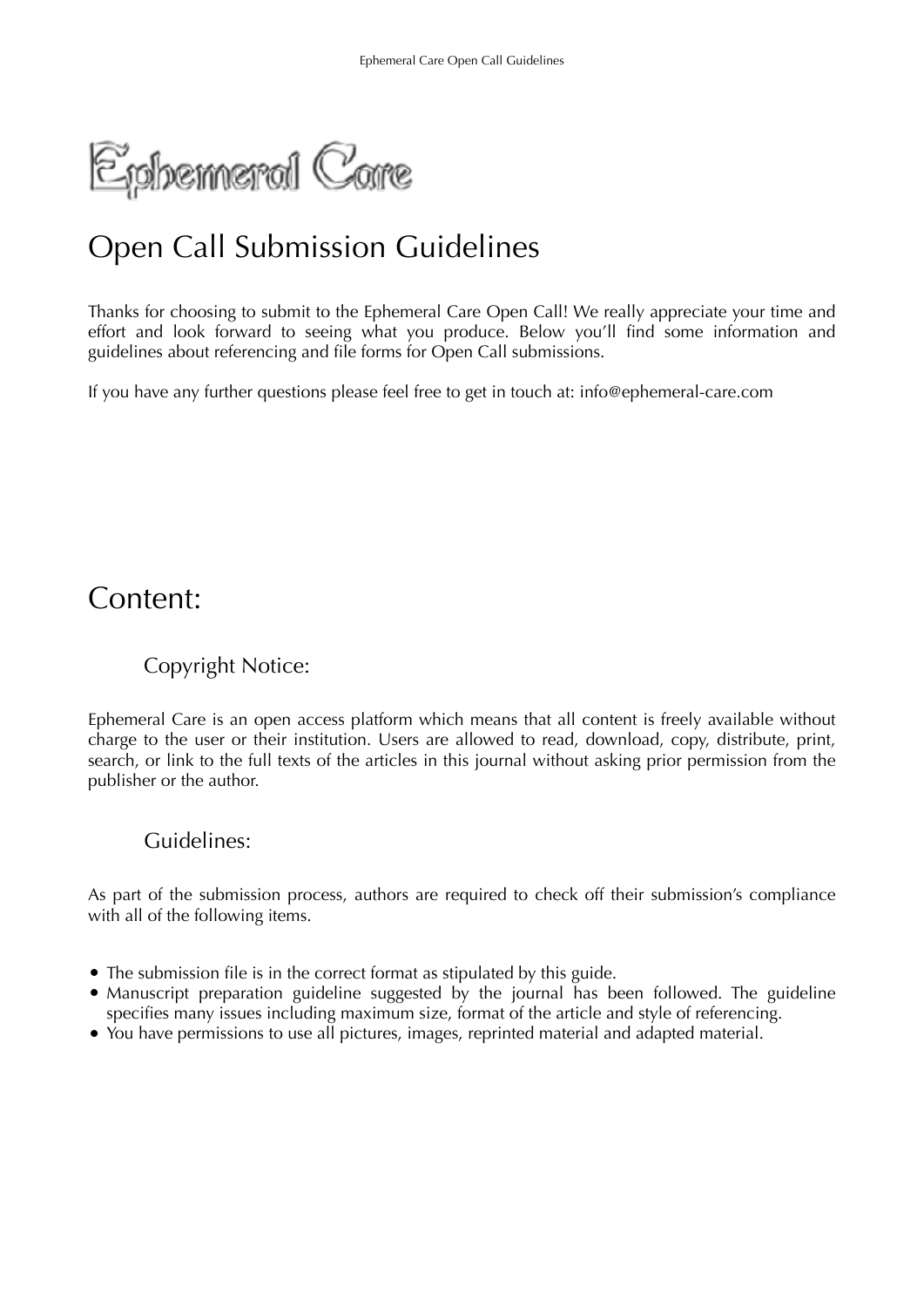Ephemeral Care

# Open Call Submission Guidelines

Thanks for choosing to submit to the Ephemeral Care Open Call! We really appreciate your time and effort and look forward to seeing what you produce. Below you'll find some information and guidelines about referencing and file forms for Open Call submissions.

If you have any further questions please feel free to get in touch at: info@ephemeral-care.com

# Content:

# Copyright Notice:

Ephemeral Care is an open access platform which means that all content is freely available without charge to the user or their institution. Users are allowed to read, download, copy, distribute, print, search, or link to the full texts of the articles in this journal without asking prior permission from the publisher or the author.

# Guidelines:

As part of the submission process, authors are required to check off their submission's compliance with all of the following items.

- The submission file is in the correct format as stipulated by this guide.
- Manuscript preparation guideline suggested by the journal has been followed. The guideline specifies many issues including maximum size, format of the article and style of referencing.
- You have permissions to use all pictures, images, reprinted material and adapted material.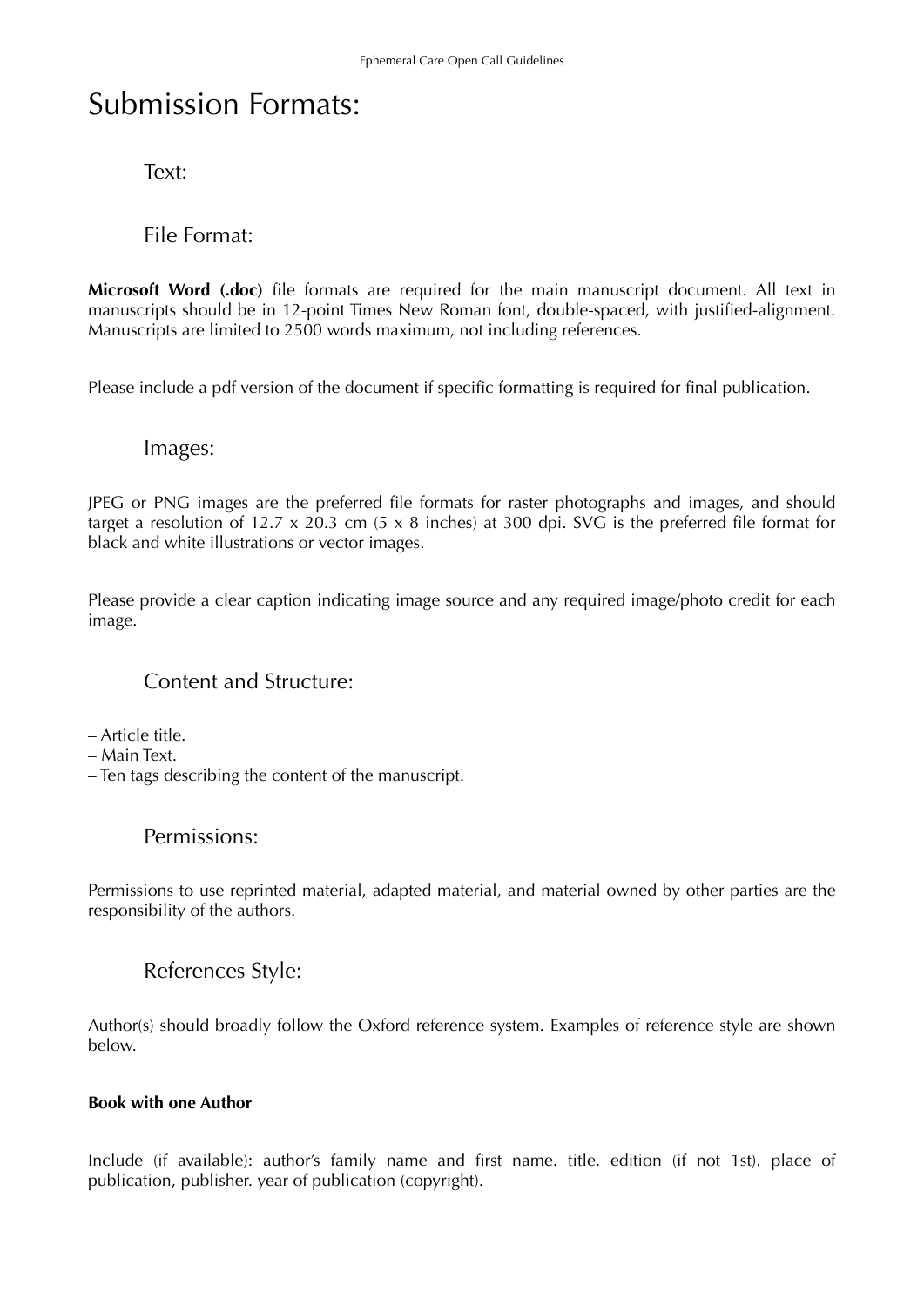# Submission Formats:

Text:

File Format:

**Microsoft Word (.doc)** file formats are required for the main manuscript document. All text in manuscripts should be in 12-point Times New Roman font, double-spaced, with justified-alignment. Manuscripts are limited to 2500 words maximum, not including references.

Please include a pdf version of the document if specific formatting is required for final publication.

# Images:

JPEG or PNG images are the preferred file formats for raster photographs and images, and should target a resolution of 12.7 x 20.3 cm (5 x 8 inches) at 300 dpi. SVG is the preferred file format for black and white illustrations or vector images.

Please provide a clear caption indicating image source and any required image/photo credit for each image.

# Content and Structure:

– Article title.

- Main Text.
- Ten tags describing the content of the manuscript.

## Permissions:

Permissions to use reprinted material, adapted material, and material owned by other parties are the responsibility of the authors.

# References Style:

Author(s) should broadly follow the Oxford reference system. Examples of reference style are shown below.

### **Book with one Author**

Include (if available): author's family name and first name. title. edition (if not 1st). place of publication, publisher. year of publication (copyright).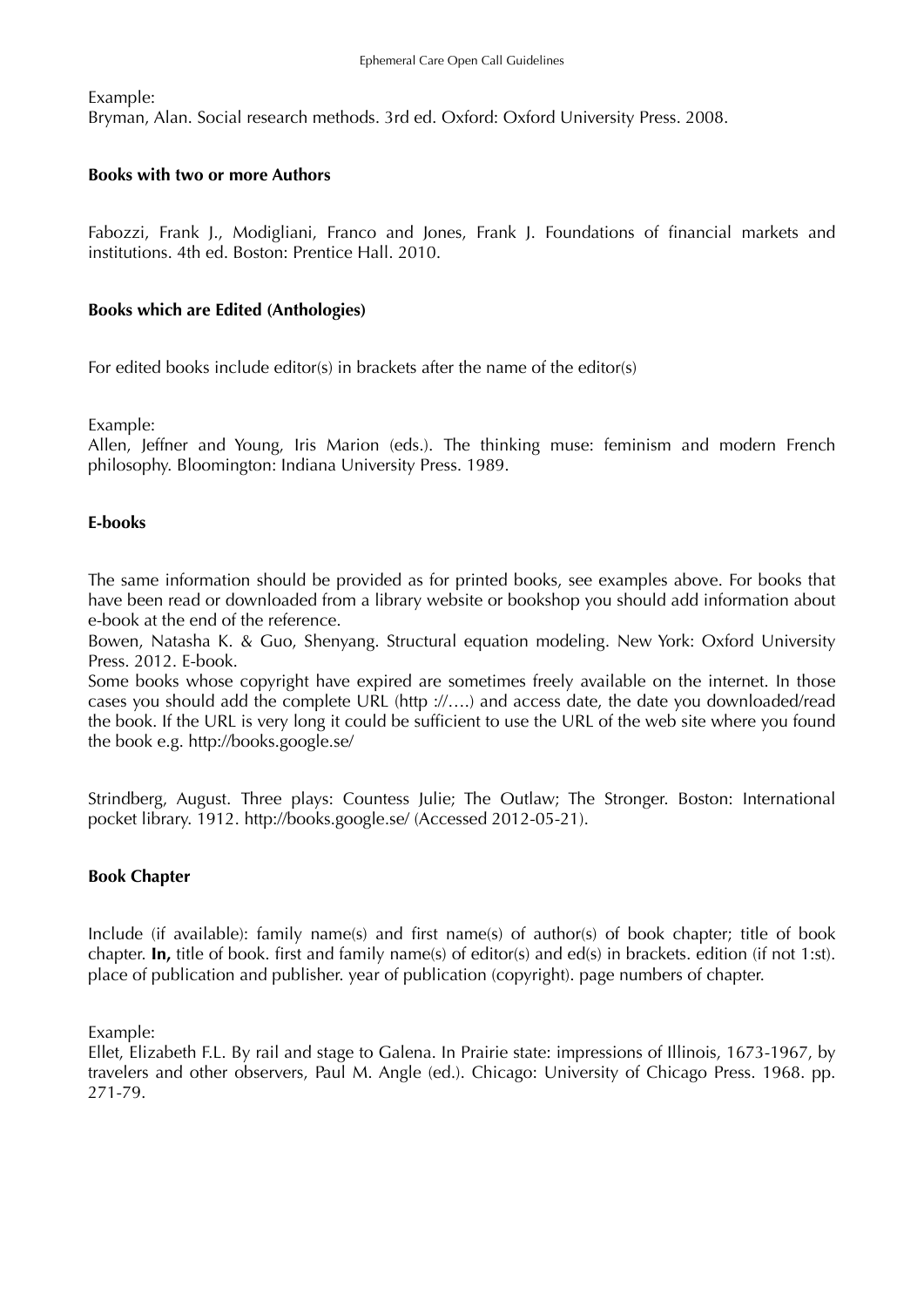Example:

Bryman, Alan. Social research methods. 3rd ed. Oxford: Oxford University Press. 2008.

#### **Books with two or more Authors**

Fabozzi, Frank J., Modigliani, Franco and Jones, Frank J. Foundations of financial markets and institutions. 4th ed. Boston: Prentice Hall. 2010.

#### **Books which are Edited (Anthologies)**

For edited books include editor(s) in brackets after the name of the editor(s)

Example:

Allen, Jeffner and Young, Iris Marion (eds.). The thinking muse: feminism and modern French philosophy. Bloomington: Indiana University Press. 1989.

#### **E-books**

The same information should be provided as for printed books, see examples above. For books that have been read or downloaded from a library website or bookshop you should add information about e-book at the end of the reference.

Bowen, Natasha K. & Guo, Shenyang. Structural equation modeling. New York: Oxford University Press. 2012. E-book.

Some books whose copyright have expired are sometimes freely available on the internet. In those cases you should add the complete URL (http ://….) and access date, the date you downloaded/read the book. If the URL is very long it could be sufficient to use the URL of the web site where you found the book e.g. http://books.google.se/

Strindberg, August. Three plays: Countess Julie; The Outlaw; The Stronger. Boston: International pocket library. 1912. http://books.google.se/ (Accessed 2012-05-21).

#### **Book Chapter**

Include (if available): family name(s) and first name(s) of author(s) of book chapter; title of book chapter. **In,** title of book. first and family name(s) of editor(s) and ed(s) in brackets. edition (if not 1:st). place of publication and publisher. year of publication (copyright). page numbers of chapter.

Example:

Ellet, Elizabeth F.L. By rail and stage to Galena. In Prairie state: impressions of Illinois, 1673-1967, by travelers and other observers, Paul M. Angle (ed.). Chicago: University of Chicago Press. 1968. pp. 271-79.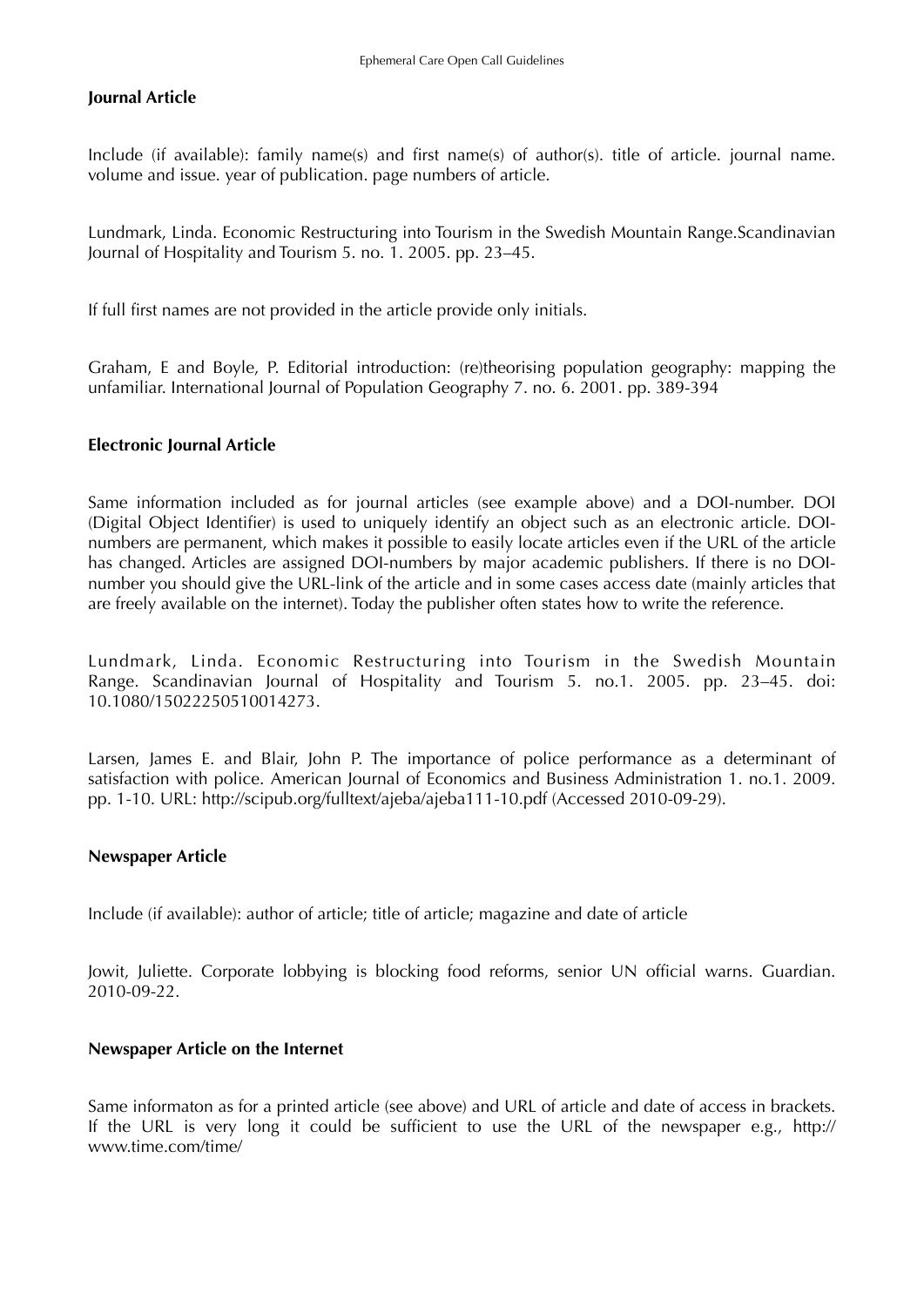#### **Journal Article**

Include (if available): family name(s) and first name(s) of author(s). title of article. journal name. volume and issue. year of publication. page numbers of article.

Lundmark, Linda. Economic Restructuring into Tourism in the Swedish Mountain Range.Scandinavian Journal of Hospitality and Tourism 5. no. 1. 2005. pp. 23–45.

If full first names are not provided in the article provide only initials.

Graham, E and Boyle, P. Editorial introduction: (re)theorising population geography: mapping the unfamiliar. International Journal of Population Geography 7. no. 6. 2001. pp. 389-394

#### **Electronic Journal Article**

Same information included as for journal articles (see example above) and a DOI-number. DOI (Digital Object Identifier) is used to uniquely identify an object such as an electronic article. DOInumbers are permanent, which makes it possible to easily locate articles even if the URL of the article has changed. Articles are assigned DOI-numbers by major academic publishers. If there is no DOInumber you should give the URL-link of the article and in some cases access date (mainly articles that are freely available on the internet). Today the publisher often states how to write the reference.

Lundmark, Linda. Economic Restructuring into Tourism in the Swedish Mountain Range. Scandinavian Journal of Hospitality and Tourism 5. no.1. 2005. pp. 23–45. doi: 10.1080/15022250510014273.

Larsen, James E. and Blair, John P. The importance of police performance as a determinant of satisfaction with police. American Journal of Economics and Business Administration 1. no.1. 2009. pp. 1-10. URL: http://scipub.org/fulltext/ajeba/ajeba111-10.pdf (Accessed 2010-09-29).

#### **Newspaper Article**

Include (if available): author of article; title of article; magazine and date of article

Jowit, Juliette. Corporate lobbying is blocking food reforms, senior UN official warns. Guardian. 2010-09-22.

#### **Newspaper Article on the Internet**

Same informaton as for a printed article (see above) and URL of article and date of access in brackets. If the URL is very long it could be sufficient to use the URL of the newspaper e.g., http:// www.time.com/time/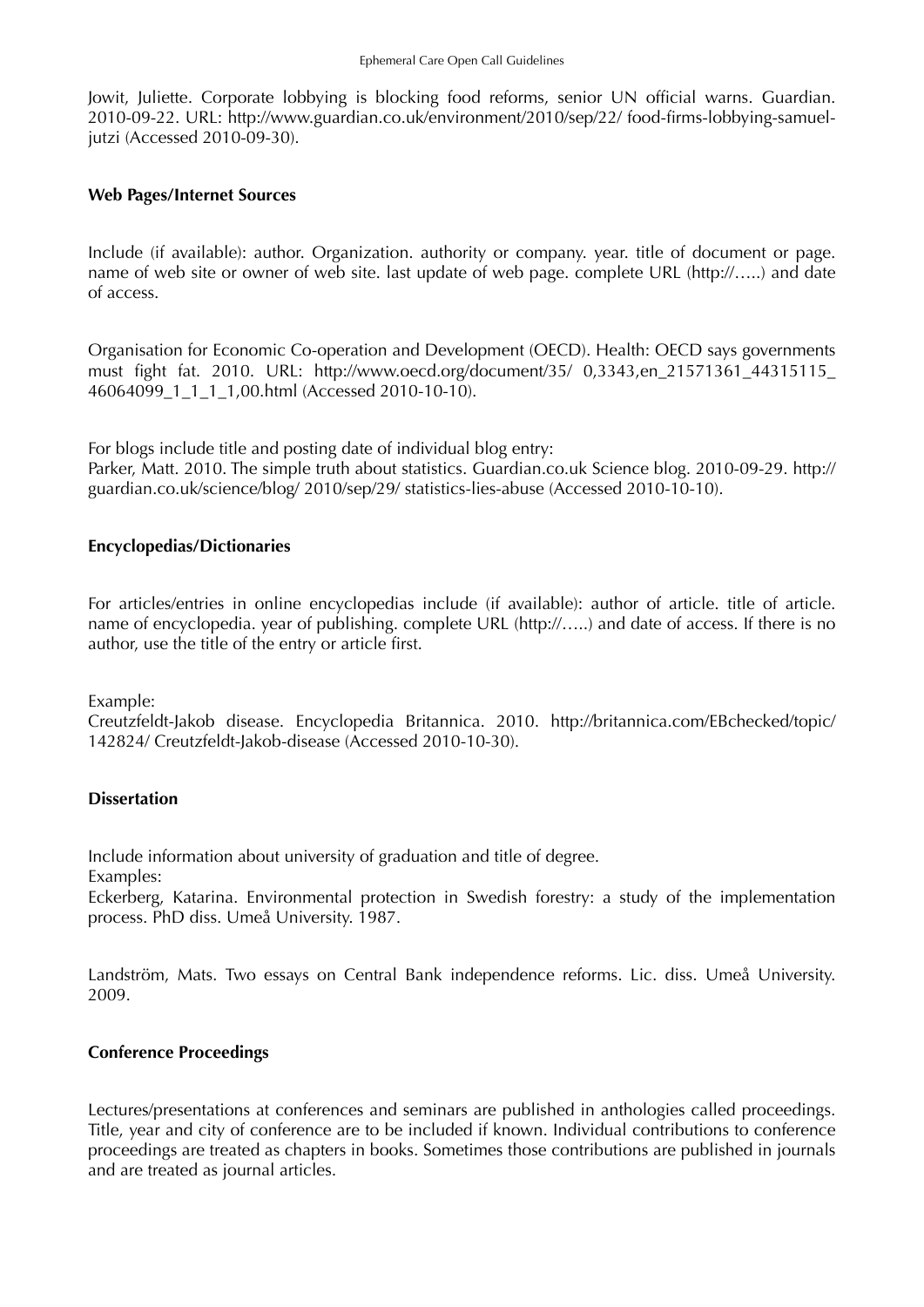Jowit, Juliette. Corporate lobbying is blocking food reforms, senior UN official warns. Guardian. 2010-09-22. URL: http://www.guardian.co.uk/environment/2010/sep/22/ food-firms-lobbying-samueljutzi (Accessed 2010-09-30).

#### **Web Pages/Internet Sources**

Include (if available): author. Organization. authority or company. year. title of document or page. name of web site or owner of web site. last update of web page. complete URL (http://…..) and date of access.

Organisation for Economic Co-operation and Development (OECD). Health: OECD says governments must fight fat. 2010. URL: http://www.oecd.org/document/35/ 0,3343,en\_21571361\_44315115\_ 46064099\_1\_1\_1\_1,00.html (Accessed 2010-10-10).

For blogs include title and posting date of individual blog entry:

Parker, Matt. 2010. The simple truth about statistics. Guardian.co.uk Science blog. 2010-09-29. http:// guardian.co.uk/science/blog/ 2010/sep/29/ statistics-lies-abuse (Accessed 2010-10-10).

#### **Encyclopedias/Dictionaries**

For articles/entries in online encyclopedias include (if available): author of article. title of article. name of encyclopedia. year of publishing. complete URL (http://…..) and date of access. If there is no author, use the title of the entry or article first.

Example:

Creutzfeldt-Jakob disease. Encyclopedia Britannica. 2010. http://britannica.com/EBchecked/topic/ 142824/ Creutzfeldt-Jakob-disease (Accessed 2010-10-30).

#### **Dissertation**

Include information about university of graduation and title of degree.

Examples:

Eckerberg, Katarina. Environmental protection in Swedish forestry: a study of the implementation process. PhD diss. Umeå University. 1987.

Landström, Mats. Two essays on Central Bank independence reforms. Lic. diss. Umeå University. 2009.

#### **Conference Proceedings**

Lectures/presentations at conferences and seminars are published in anthologies called proceedings. Title, year and city of conference are to be included if known. Individual contributions to conference proceedings are treated as chapters in books. Sometimes those contributions are published in journals and are treated as journal articles.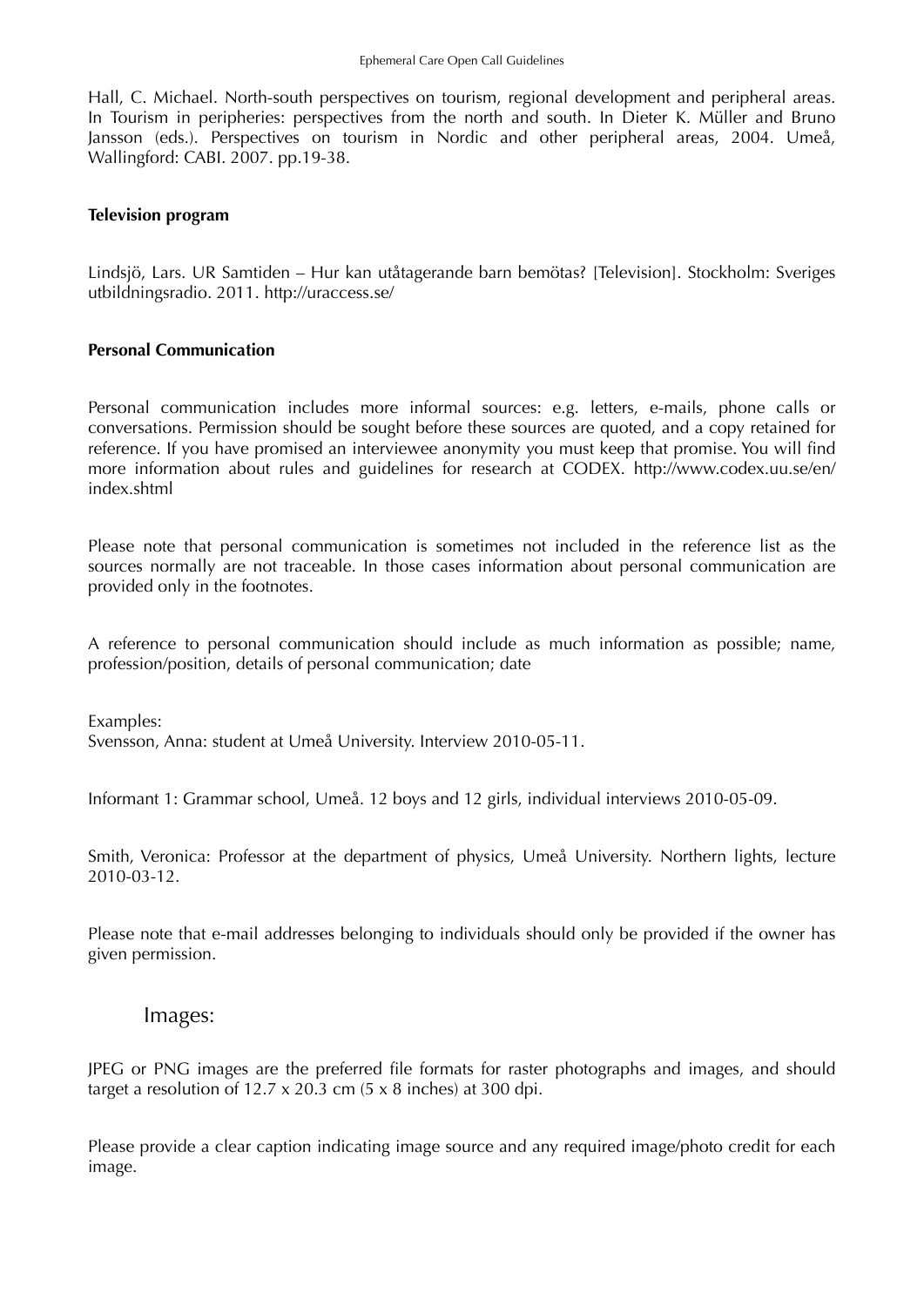Hall, C. Michael. North-south perspectives on tourism, regional development and peripheral areas. In Tourism in peripheries: perspectives from the north and south. In Dieter K. Müller and Bruno Jansson (eds.). Perspectives on tourism in Nordic and other peripheral areas, 2004. Umeå, Wallingford: CABI. 2007. pp.19-38.

#### **Television program**

Lindsjö, Lars. UR Samtiden – Hur kan utåtagerande barn bemötas? [Television]. Stockholm: Sveriges utbildningsradio. 2011. http://uraccess.se/

#### **Personal Communication**

Personal communication includes more informal sources: e.g. letters, e-mails, phone calls or conversations. Permission should be sought before these sources are quoted, and a copy retained for reference. If you have promised an interviewee anonymity you must keep that promise. You will find more information about rules and guidelines for research at CODEX. http://www.codex.uu.se/en/ index shtml

Please note that personal communication is sometimes not included in the reference list as the sources normally are not traceable. In those cases information about personal communication are provided only in the footnotes.

A reference to personal communication should include as much information as possible; name, profession/position, details of personal communication; date

Examples: Svensson, Anna: student at Umeå University. Interview 2010-05-11.

Informant 1: Grammar school, Umeå. 12 boys and 12 girls, individual interviews 2010-05-09.

Smith, Veronica: Professor at the department of physics, Umeå University. Northern lights, lecture 2010-03-12.

Please note that e-mail addresses belonging to individuals should only be provided if the owner has given permission.

#### Images:

JPEG or PNG images are the preferred file formats for raster photographs and images, and should target a resolution of  $12.7 \times 20.3$  cm  $(5 \times 8)$  inches) at 300 dpi.

Please provide a clear caption indicating image source and any required image/photo credit for each image.